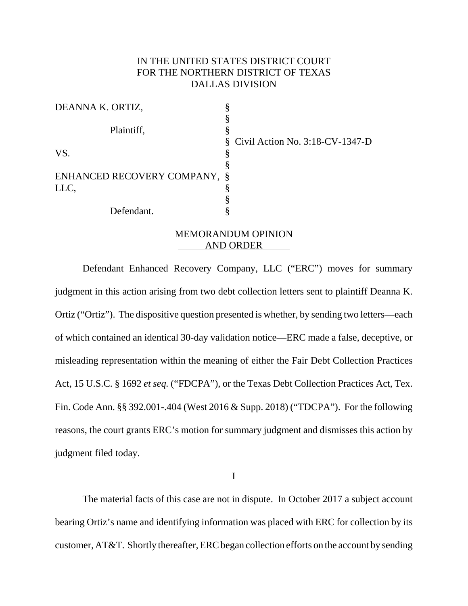# IN THE UNITED STATES DISTRICT COURT FOR THE NORTHERN DISTRICT OF TEXAS DALLAS DIVISION

| DEANNA K. ORTIZ,             |                                      |
|------------------------------|--------------------------------------|
|                              |                                      |
| Plaintiff,                   |                                      |
|                              | $\S$ Civil Action No. 3:18-CV-1347-D |
| VS.                          | O                                    |
|                              |                                      |
| ENHANCED RECOVERY COMPANY, § |                                      |
| LLC,                         |                                      |
|                              |                                      |
| Defendant.                   |                                      |
|                              |                                      |

## MEMORANDUM OPINION AND ORDER

Defendant Enhanced Recovery Company, LLC ("ERC") moves for summary judgment in this action arising from two debt collection letters sent to plaintiff Deanna K. Ortiz ("Ortiz"). The dispositive question presented is whether, by sending two letters—each of which contained an identical 30-day validation notice—ERC made a false, deceptive, or misleading representation within the meaning of either the Fair Debt Collection Practices Act, 15 U.S.C. § 1692 *et seq.* ("FDCPA"), or the Texas Debt Collection Practices Act, Tex. Fin. Code Ann. §§ 392.001-.404 (West 2016 & Supp. 2018) ("TDCPA"). For the following reasons, the court grants ERC's motion for summary judgment and dismisses this action by judgment filed today.

I

The material facts of this case are not in dispute. In October 2017 a subject account bearing Ortiz's name and identifying information was placed with ERC for collection by its customer, AT&T. Shortly thereafter, ERC began collection efforts on the account by sending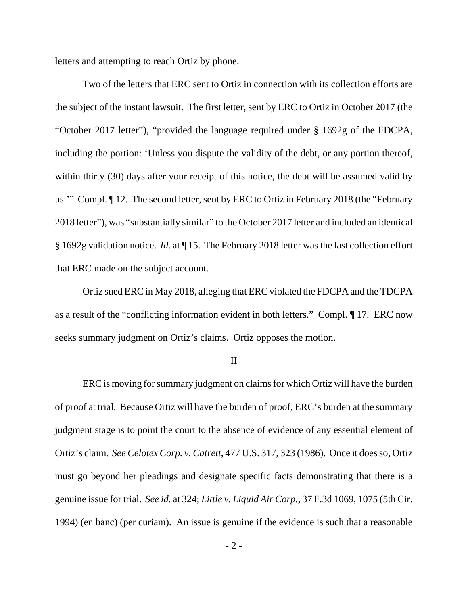letters and attempting to reach Ortiz by phone.

Two of the letters that ERC sent to Ortiz in connection with its collection efforts are the subject of the instant lawsuit. The first letter, sent by ERC to Ortiz in October 2017 (the "October 2017 letter"), "provided the language required under § 1692g of the FDCPA, including the portion: 'Unless you dispute the validity of the debt, or any portion thereof, within thirty (30) days after your receipt of this notice, the debt will be assumed valid by us.'" Compl. ¶ 12. The second letter, sent by ERC to Ortiz in February 2018 (the "February 2018 letter"), was "substantially similar" to the October 2017 letter and included an identical § 1692g validation notice. *Id.* at ¶ 15. The February 2018 letter was the last collection effort that ERC made on the subject account.

Ortiz sued ERC in May 2018, alleging that ERC violated the FDCPA and the TDCPA as a result of the "conflicting information evident in both letters." Compl. ¶ 17. ERC now seeks summary judgment on Ortiz's claims. Ortiz opposes the motion.

II

ERC is moving for summary judgment on claims for which Ortiz will have the burden of proof at trial. Because Ortiz will have the burden of proof, ERC's burden at the summary judgment stage is to point the court to the absence of evidence of any essential element of Ortiz's claim. *See Celotex Corp. v. Catrett*, 477 U.S. 317, 323 (1986). Once it does so, Ortiz must go beyond her pleadings and designate specific facts demonstrating that there is a genuine issue for trial. *See id.* at 324; *Little v. Liquid Air Corp.*, 37 F.3d 1069, 1075 (5th Cir. 1994) (en banc) (per curiam). An issue is genuine if the evidence is such that a reasonable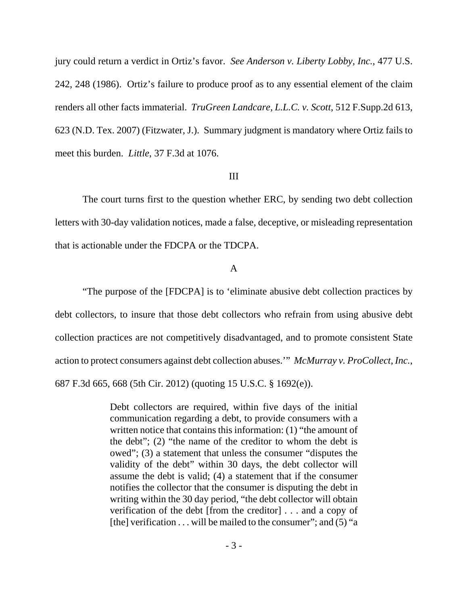jury could return a verdict in Ortiz's favor. *See Anderson v. Liberty Lobby, Inc.*, 477 U.S. 242, 248 (1986). Ortiz's failure to produce proof as to any essential element of the claim renders all other facts immaterial. *TruGreen Landcare, L.L.C. v. Scott*, 512 F.Supp.2d 613, 623 (N.D. Tex. 2007) (Fitzwater, J.). Summary judgment is mandatory where Ortiz fails to meet this burden. *Little*, 37 F.3d at 1076.

#### III

The court turns first to the question whether ERC, by sending two debt collection letters with 30-day validation notices, made a false, deceptive, or misleading representation that is actionable under the FDCPA or the TDCPA.

#### A

"The purpose of the [FDCPA] is to 'eliminate abusive debt collection practices by debt collectors, to insure that those debt collectors who refrain from using abusive debt collection practices are not competitively disadvantaged, and to promote consistent State action to protect consumers against debt collection abuses.'" *McMurray v. ProCollect, Inc.*, 687 F.3d 665, 668 (5th Cir. 2012) (quoting 15 U.S.C. § 1692(e)).

> Debt collectors are required, within five days of the initial communication regarding a debt, to provide consumers with a written notice that contains this information: (1) "the amount of the debt"; (2) "the name of the creditor to whom the debt is owed"; (3) a statement that unless the consumer "disputes the validity of the debt" within 30 days, the debt collector will assume the debt is valid; (4) a statement that if the consumer notifies the collector that the consumer is disputing the debt in writing within the 30 day period, "the debt collector will obtain verification of the debt [from the creditor] . . . and a copy of [the] verification  $\dots$  will be mailed to the consumer"; and (5) "a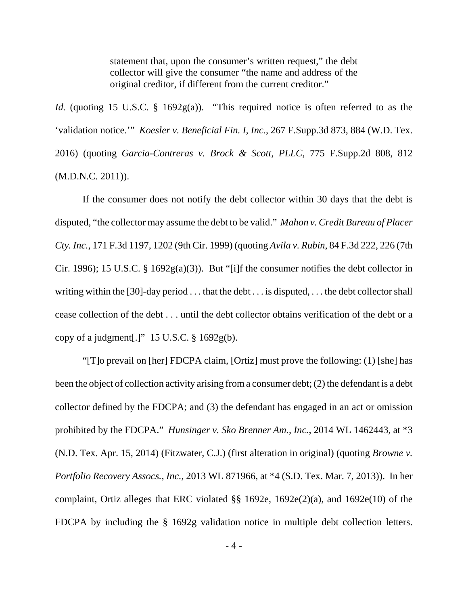statement that, upon the consumer's written request," the debt collector will give the consumer "the name and address of the original creditor, if different from the current creditor."

*Id.* (quoting 15 U.S.C. § 1692g(a)). "This required notice is often referred to as the 'validation notice.'" *Koesler v. Beneficial Fin. I, Inc.*, 267 F.Supp.3d 873, 884 (W.D. Tex. 2016) (quoting *Garcia-Contreras v. Brock & Scott, PLLC*, 775 F.Supp.2d 808, 812 (M.D.N.C. 2011)).

If the consumer does not notify the debt collector within 30 days that the debt is disputed, "the collector may assume the debt to be valid." *Mahon v. Credit Bureau of Placer Cty. Inc.*, 171 F.3d 1197, 1202 (9th Cir. 1999) (quoting *Avila v. Rubin*, 84 F.3d 222, 226 (7th Cir. 1996); 15 U.S.C. § 1692 $g(a)(3)$ ). But "[i]f the consumer notifies the debt collector in writing within the [30]-day period . . . that the debt . . . is disputed, . . . the debt collector shall cease collection of the debt . . . until the debt collector obtains verification of the debt or a copy of a judgment[.]"  $15$  U.S.C. § 1692g(b).

"[T]o prevail on [her] FDCPA claim, [Ortiz] must prove the following: (1) [she] has been the object of collection activity arising from a consumer debt; (2) the defendant is a debt collector defined by the FDCPA; and (3) the defendant has engaged in an act or omission prohibited by the FDCPA." *Hunsinger v. Sko Brenner Am., Inc.*, 2014 WL 1462443, at \*3 (N.D. Tex. Apr. 15, 2014) (Fitzwater, C.J.) (first alteration in original) (quoting *Browne v. Portfolio Recovery Assocs., Inc.*, 2013 WL 871966, at \*4 (S.D. Tex. Mar. 7, 2013)). In her complaint, Ortiz alleges that ERC violated §§ 1692e, 1692e(2)(a), and 1692e(10) of the FDCPA by including the § 1692g validation notice in multiple debt collection letters.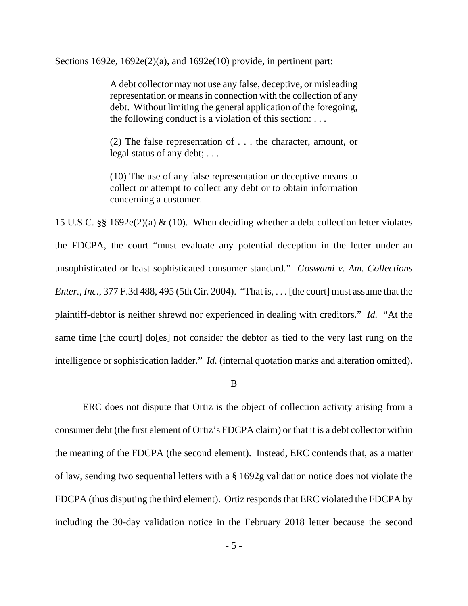Sections 1692e,  $1692e(2)(a)$ , and  $1692e(10)$  provide, in pertinent part:

A debt collector may not use any false, deceptive, or misleading representation or means in connection with the collection of any debt. Without limiting the general application of the foregoing, the following conduct is a violation of this section: . . .

(2) The false representation of . . . the character, amount, or legal status of any debt; . . .

(10) The use of any false representation or deceptive means to collect or attempt to collect any debt or to obtain information concerning a customer.

15 U.S.C. §§ 1692e(2)(a) & (10). When deciding whether a debt collection letter violates the FDCPA, the court "must evaluate any potential deception in the letter under an unsophisticated or least sophisticated consumer standard." *Goswami v. Am. Collections Enter., Inc.*, 377 F.3d 488, 495 (5th Cir. 2004). "That is, . . . [the court] must assume that the plaintiff-debtor is neither shrewd nor experienced in dealing with creditors." *Id.* "At the same time [the court] do[es] not consider the debtor as tied to the very last rung on the intelligence or sophistication ladder." *Id.* (internal quotation marks and alteration omitted).

B

ERC does not dispute that Ortiz is the object of collection activity arising from a consumer debt (the first element of Ortiz's FDCPA claim) or that it is a debt collector within the meaning of the FDCPA (the second element). Instead, ERC contends that, as a matter of law, sending two sequential letters with a § 1692g validation notice does not violate the FDCPA (thus disputing the third element). Ortiz responds that ERC violated the FDCPA by including the 30-day validation notice in the February 2018 letter because the second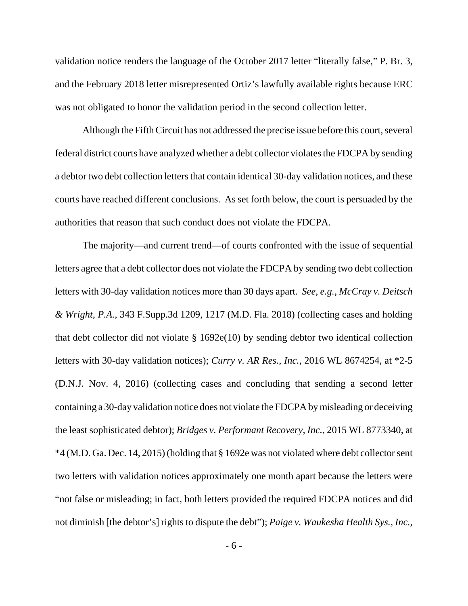validation notice renders the language of the October 2017 letter "literally false," P. Br. 3, and the February 2018 letter misrepresented Ortiz's lawfully available rights because ERC was not obligated to honor the validation period in the second collection letter.

Although the Fifth Circuit has not addressed the precise issue before this court, several federal district courts have analyzed whether a debt collector violates the FDCPA by sending a debtor two debt collection letters that contain identical 30-day validation notices, and these courts have reached different conclusions. As set forth below, the court is persuaded by the authorities that reason that such conduct does not violate the FDCPA.

The majority—and current trend—of courts confronted with the issue of sequential letters agree that a debt collector does not violate the FDCPA by sending two debt collection letters with 30-day validation notices more than 30 days apart. *See, e.g., McCray v. Deitsch & Wright, P.A.*, 343 F.Supp.3d 1209, 1217 (M.D. Fla. 2018) (collecting cases and holding that debt collector did not violate § 1692e(10) by sending debtor two identical collection letters with 30-day validation notices); *Curry v. AR Res., Inc.*, 2016 WL 8674254, at \*2-5 (D.N.J. Nov. 4, 2016) (collecting cases and concluding that sending a second letter containing a 30-day validation notice does not violate the FDCPA by misleading or deceiving the least sophisticated debtor); *Bridges v. Performant Recovery, Inc.*, 2015 WL 8773340, at \*4 (M.D. Ga. Dec. 14, 2015) (holding that § 1692e was not violated where debt collector sent two letters with validation notices approximately one month apart because the letters were "not false or misleading; in fact, both letters provided the required FDCPA notices and did not diminish [the debtor's] rights to dispute the debt"); *Paige v. Waukesha Health Sys., Inc.*,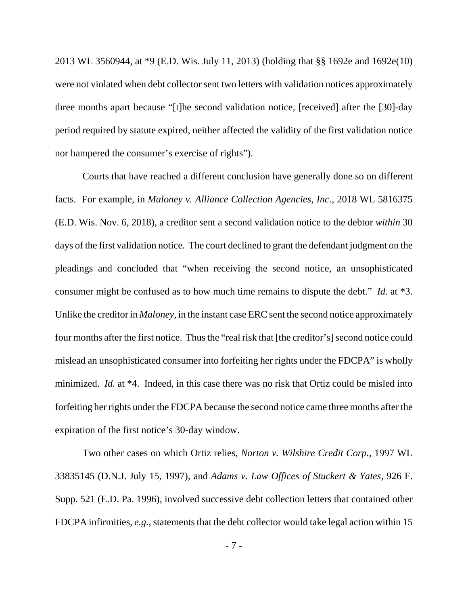2013 WL 3560944, at \*9 (E.D. Wis. July 11, 2013) (holding that §§ 1692e and 1692e(10) were not violated when debt collector sent two letters with validation notices approximately three months apart because "[t]he second validation notice, [received] after the [30]-day period required by statute expired, neither affected the validity of the first validation notice nor hampered the consumer's exercise of rights").

Courts that have reached a different conclusion have generally done so on different facts. For example, in *Maloney v. Alliance Collection Agencies, Inc.*, 2018 WL 5816375 (E.D. Wis. Nov. 6, 2018), a creditor sent a second validation notice to the debtor *within* 30 days of the first validation notice. The court declined to grant the defendant judgment on the pleadings and concluded that "when receiving the second notice, an unsophisticated consumer might be confused as to how much time remains to dispute the debt." *Id.* at \*3. Unlike the creditor in *Maloney*, in the instant case ERC sent the second notice approximately four months after the first notice. Thus the "real risk that [the creditor's] second notice could mislead an unsophisticated consumer into forfeiting her rights under the FDCPA" is wholly minimized. *Id.* at \*4. Indeed, in this case there was no risk that Ortiz could be misled into forfeiting her rights under the FDCPA because the second notice came three months after the expiration of the first notice's 30-day window.

Two other cases on which Ortiz relies, *Norton v. Wilshire Credit Corp.,* 1997 WL 33835145 (D.N.J. July 15, 1997), and *Adams v. Law Offices of Stuckert & Yates*, 926 F. Supp. 521 (E.D. Pa. 1996), involved successive debt collection letters that contained other FDCPA infirmities, *e.g.*, statements that the debt collector would take legal action within 15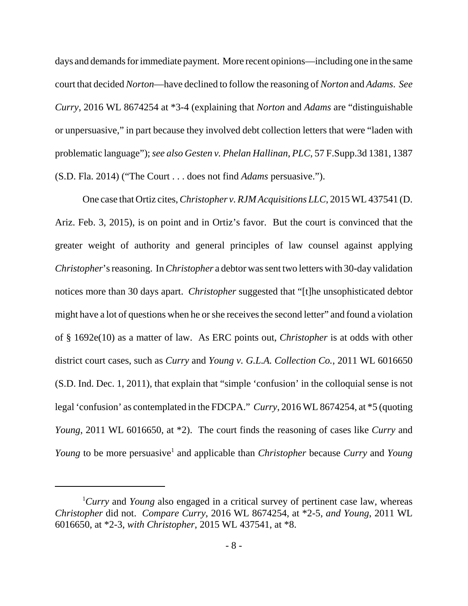days and demands for immediate payment. More recent opinions—including one in the same court that decided *Norton*—have declined to follow the reasoning of *Norton* and *Adams*. *See Curry*, 2016 WL 8674254 at \*3-4 (explaining that *Norton* and *Adams* are "distinguishable or unpersuasive," in part because they involved debt collection letters that were "laden with problematic language"); *see also Gesten v. Phelan Hallinan, PLC*, 57 F.Supp.3d 1381, 1387 (S.D. Fla. 2014) ("The Court . . . does not find *Adams* persuasive.").

One case that Ortiz cites, *Christopher v. RJM Acquisitions LLC*, 2015 WL 437541 (D. Ariz. Feb. 3, 2015), is on point and in Ortiz's favor. But the court is convinced that the greater weight of authority and general principles of law counsel against applying *Christopher*'s reasoning. In *Christopher* a debtor was sent two letters with 30-day validation notices more than 30 days apart. *Christopher* suggested that "[t]he unsophisticated debtor might have a lot of questions when he or she receives the second letter" and found a violation of § 1692e(10) as a matter of law. As ERC points out, *Christopher* is at odds with other district court cases, such as *Curry* and *Young v. G.L.A. Collection Co.*, 2011 WL 6016650 (S.D. Ind. Dec. 1, 2011), that explain that "simple 'confusion' in the colloquial sense is not legal 'confusion' as contemplated in the FDCPA." *Curry*, 2016 WL 8674254, at \*5 (quoting *Young*, 2011 WL 6016650, at \*2). The court finds the reasoning of cases like *Curry* and *Young* to be more persuasive<sup>1</sup> and applicable than *Christopher* because *Curry* and *Young* 

<sup>&</sup>lt;sup>1</sup>Curry and *Young* also engaged in a critical survey of pertinent case law, whereas *Christopher* did not. *Compare Curry*, 2016 WL 8674254, at \*2-5, *and Young*, 2011 WL 6016650, at \*2-3, *with Christopher*, 2015 WL 437541, at \*8.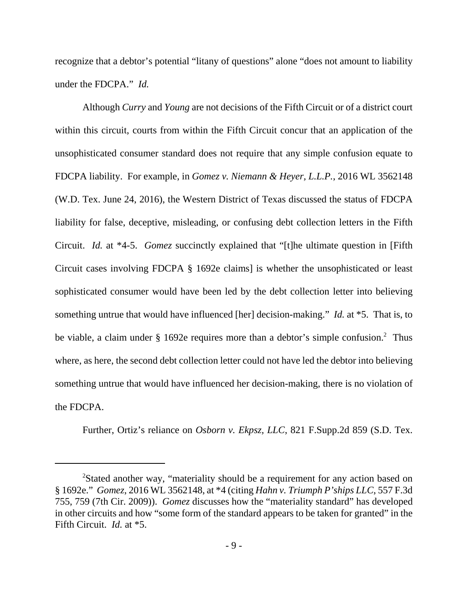recognize that a debtor's potential "litany of questions" alone "does not amount to liability under the FDCPA." *Id.* 

Although *Curry* and *Young* are not decisions of the Fifth Circuit or of a district court within this circuit, courts from within the Fifth Circuit concur that an application of the unsophisticated consumer standard does not require that any simple confusion equate to FDCPA liability. For example, in *Gomez v. Niemann & Heyer, L.L.P.*, 2016 WL 3562148 (W.D. Tex. June 24, 2016), the Western District of Texas discussed the status of FDCPA liability for false, deceptive, misleading, or confusing debt collection letters in the Fifth Circuit. *Id.* at \*4-5. *Gomez* succinctly explained that "[t]he ultimate question in [Fifth Circuit cases involving FDCPA § 1692e claims] is whether the unsophisticated or least sophisticated consumer would have been led by the debt collection letter into believing something untrue that would have influenced [her] decision-making." *Id.* at \*5. That is, to be viable, a claim under  $\S$  1692e requires more than a debtor's simple confusion.<sup>2</sup> Thus where, as here, the second debt collection letter could not have led the debtor into believing something untrue that would have influenced her decision-making, there is no violation of the FDCPA.

Further, Ortiz's reliance on *Osborn v. Ekpsz, LLC*, 821 F.Supp.2d 859 (S.D. Tex.

<sup>&</sup>lt;sup>2</sup>Stated another way, "materiality should be a requirement for any action based on § 1692e." *Gomez*, 2016 WL 3562148, at \*4 (citing *Hahn v. Triumph P'ships LLC*, 557 F.3d 755, 759 (7th Cir. 2009)). *Gomez* discusses how the "materiality standard" has developed in other circuits and how "some form of the standard appears to be taken for granted" in the Fifth Circuit. *Id.* at \*5.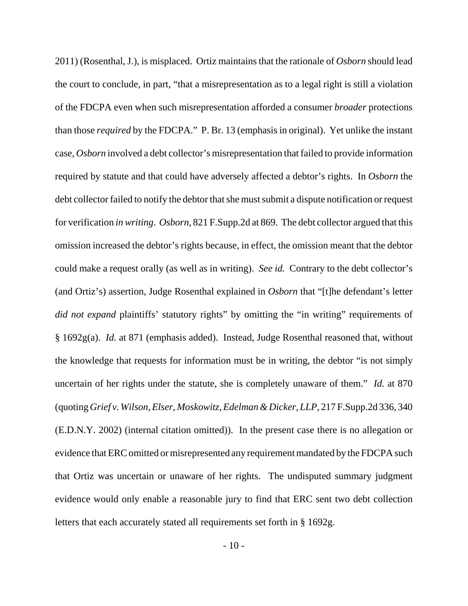2011) (Rosenthal, J.), is misplaced. Ortiz maintains that the rationale of *Osborn* should lead the court to conclude, in part, "that a misrepresentation as to a legal right is still a violation of the FDCPA even when such misrepresentation afforded a consumer *broader* protections than those *required* by the FDCPA." P. Br. 13 (emphasis in original). Yet unlike the instant case, *Osborn* involved a debt collector's misrepresentation that failed to provide information required by statute and that could have adversely affected a debtor's rights. In *Osborn* the debt collector failed to notify the debtor that she must submit a dispute notification or request for verification *in writing*. *Osborn*, 821 F.Supp.2d at 869. The debt collector argued that this omission increased the debtor's rights because, in effect, the omission meant that the debtor could make a request orally (as well as in writing). *See id.* Contrary to the debt collector's (and Ortiz's) assertion, Judge Rosenthal explained in *Osborn* that "[t]he defendant's letter *did not expand* plaintiffs' statutory rights" by omitting the "in writing" requirements of § 1692g(a). *Id.* at 871 (emphasis added). Instead, Judge Rosenthal reasoned that, without the knowledge that requests for information must be in writing, the debtor "is not simply uncertain of her rights under the statute, she is completely unaware of them." *Id.* at 870 (quoting *Grief v. Wilson, Elser, Moskowitz, Edelman & Dicker, LLP*, 217 F.Supp.2d 336, 340 (E.D.N.Y. 2002) (internal citation omitted)). In the present case there is no allegation or evidence that ERC omitted or misrepresented any requirement mandated by the FDCPA such that Ortiz was uncertain or unaware of her rights. The undisputed summary judgment evidence would only enable a reasonable jury to find that ERC sent two debt collection letters that each accurately stated all requirements set forth in § 1692g.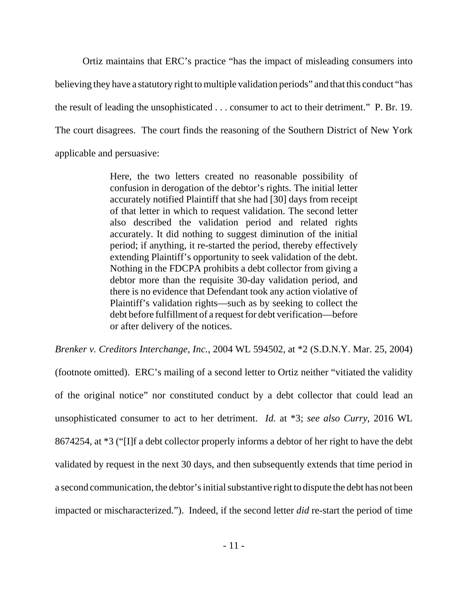Ortiz maintains that ERC's practice "has the impact of misleading consumers into believing they have a statutory right to multiple validation periods" and that this conduct "has the result of leading the unsophisticated . . . consumer to act to their detriment." P. Br. 19. The court disagrees. The court finds the reasoning of the Southern District of New York applicable and persuasive:

> Here, the two letters created no reasonable possibility of confusion in derogation of the debtor's rights. The initial letter accurately notified Plaintiff that she had [30] days from receipt of that letter in which to request validation. The second letter also described the validation period and related rights accurately. It did nothing to suggest diminution of the initial period; if anything, it re-started the period, thereby effectively extending Plaintiff's opportunity to seek validation of the debt. Nothing in the FDCPA prohibits a debt collector from giving a debtor more than the requisite 30-day validation period, and there is no evidence that Defendant took any action violative of Plaintiff's validation rights—such as by seeking to collect the debt before fulfillment of a request for debt verification—before or after delivery of the notices.

*Brenker v. Creditors Interchange, Inc.*, 2004 WL 594502, at \*2 (S.D.N.Y. Mar. 25, 2004)

(footnote omitted). ERC's mailing of a second letter to Ortiz neither "vitiated the validity of the original notice" nor constituted conduct by a debt collector that could lead an unsophisticated consumer to act to her detriment. *Id.* at \*3; *see also Curry*, 2016 WL 8674254, at \*3 ("[I]f a debt collector properly informs a debtor of her right to have the debt validated by request in the next 30 days, and then subsequently extends that time period in a second communication, the debtor's initial substantive right to dispute the debt has not been impacted or mischaracterized."). Indeed, if the second letter *did* re-start the period of time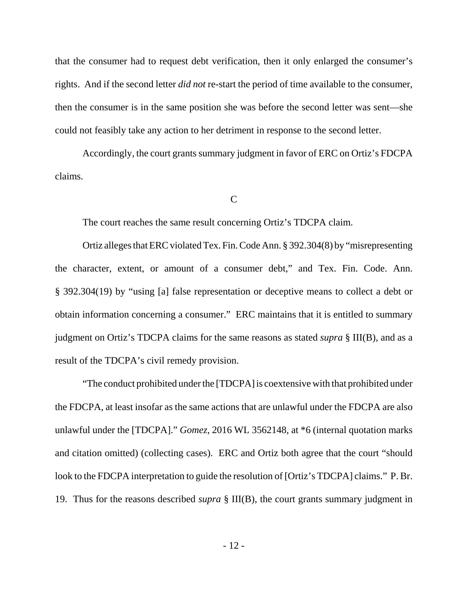that the consumer had to request debt verification, then it only enlarged the consumer's rights. And if the second letter *did not* re-start the period of time available to the consumer, then the consumer is in the same position she was before the second letter was sent—she could not feasibly take any action to her detriment in response to the second letter.

Accordingly, the court grants summary judgment in favor of ERC on Ortiz's FDCPA claims.

### C

The court reaches the same result concerning Ortiz's TDCPA claim.

Ortiz alleges that ERC violated Tex. Fin. Code Ann. § 392.304(8) by "misrepresenting the character, extent, or amount of a consumer debt," and Tex. Fin. Code. Ann. § 392.304(19) by "using [a] false representation or deceptive means to collect a debt or obtain information concerning a consumer." ERC maintains that it is entitled to summary judgment on Ortiz's TDCPA claims for the same reasons as stated *supra* § III(B), and as a result of the TDCPA's civil remedy provision.

"The conduct prohibited under the [TDCPA] is coextensive with that prohibited under the FDCPA, at least insofar as the same actions that are unlawful under the FDCPA are also unlawful under the [TDCPA]." *Gomez*, 2016 WL 3562148, at \*6 (internal quotation marks and citation omitted) (collecting cases). ERC and Ortiz both agree that the court "should look to the FDCPA interpretation to guide the resolution of [Ortiz's TDCPA] claims." P. Br. 19. Thus for the reasons described *supra* § III(B), the court grants summary judgment in